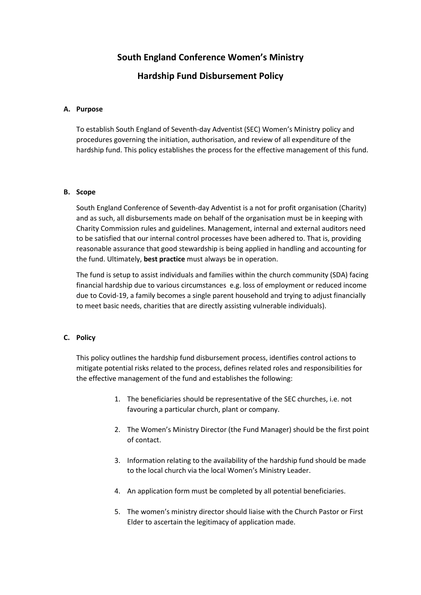**South England Conference Women's Ministry** 

**Hardship Fund Disbursement Policy**

## **A. Purpose**

To establish South England of Seventh-day Adventist (SEC) Women's Ministry policy and procedures governing the initiation, authorisation, and review of all expenditure of the hardship fund. This policy establishes the process for the effective management of this fund.

## **B. Scope**

South England Conference of Seventh-day Adventist is a not for profit organisation (Charity) and as such, all disbursements made on behalf of the organisation must be in keeping with Charity Commission rules and guidelines. Management, internal and external auditors need to be satisfied that our internal control processes have been adhered to. That is, providing reasonable assurance that good stewardship is being applied in handling and accounting for the fund. Ultimately, **best practice** must always be in operation.

The fund is setup to assist individuals and families within the church community (SDA) facing financial hardship due to various circumstances e.g. loss of employment or reduced income due to Covid-19, a family becomes a single parent household and trying to adjust financially to meet basic needs, charities that are directly assisting vulnerable individuals).

## **C. Policy**

This policy outlines the hardship fund disbursement process, identifies control actions to mitigate potential risks related to the process, defines related roles and responsibilities for the effective management of the fund and establishes the following:

- 1. The beneficiaries should be representative of the SEC churches, i.e. not favouring a particular church, plant or company.
- 2. The Women's Ministry Director (the Fund Manager) should be the first point of contact.
- 3. Information relating to the availability of the hardship fund should be made to the local church via the local Women's Ministry Leader.
- 4. An application form must be completed by all potential beneficiaries.
- 5. The women's ministry director should liaise with the Church Pastor or First Elder to ascertain the legitimacy of application made.